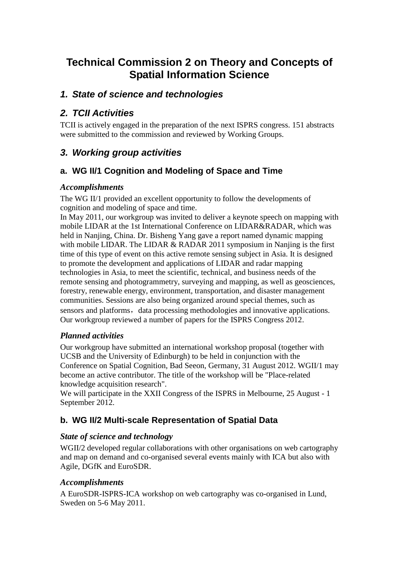# **Technical Commission 2 on Theory and Concepts of Spatial Information Science**

## *1. State of science and technologies*

## *2. TCII Activities*

TCII is actively engaged in the preparation of the next ISPRS congress. 151 abstracts were submitted to the commission and reviewed by Working Groups.

## *3. Working group activities*

## **a. WG II/1 Cognition and Modeling of Space and Time**

## *Accomplishments*

The WG II/1 provided an excellent opportunity to follow the developments of cognition and modeling of space and time.

In May 2011, our workgroup was invited to deliver a keynote speech on mapping with mobile LIDAR at the 1st International Conference on LIDAR&RADAR, which was held in Nanjing, China. Dr. Bisheng Yang gave a report named dynamic mapping with mobile LIDAR. The LIDAR & RADAR 2011 symposium in Nanjing is the first time of this type of event on this active remote sensing subject in Asia. It is designed to promote the development and applications of LIDAR and radar mapping technologies in Asia, to meet the scientific, technical, and business needs of the remote sensing and photogrammetry, surveying and mapping, as well as geosciences, forestry, renewable energy, environment, transportation, and disaster management communities. Sessions are also being organized around special themes, such as sensors and platforms, data processing methodologies and innovative applications. Our workgroup reviewed a number of papers for the ISPRS Congress 2012.

## *Planned activities*

Our workgroup have submitted an international workshop proposal (together with UCSB and the University of Edinburgh) to be held in conjunction with the Conference on Spatial Cognition, Bad Seeon, Germany, 31 August 2012. WGII/1 may become an active contributor. The title of the workshop will be "Place-related knowledge acquisition research".

We will participate in the XXII Congress of the ISPRS in Melbourne, 25 August - 1 September 2012.

## **b. WG II/2 Multi-scale Representation of Spatial Data**

## *State of science and technology*

WGII/2 developed regular collaborations with other organisations on web cartography and map on demand and co-organised several events mainly with ICA but also with Agile, DGfK and EuroSDR.

## *Accomplishments*

A EuroSDR-ISPRS-ICA workshop on web cartography was co-organised in Lund, Sweden on 5-6 May 2011.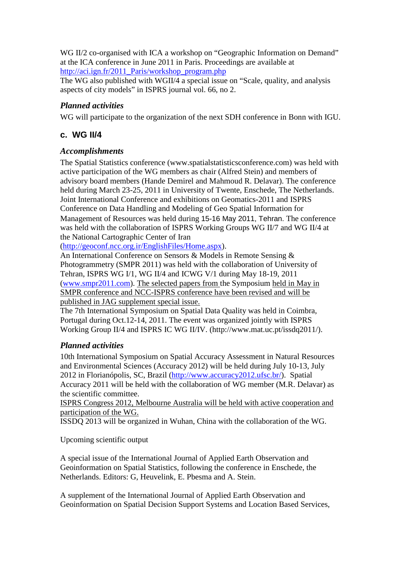WG II/2 co-organised with ICA a workshop on "Geographic Information on Demand" at the ICA conference in June 2011 in Paris. Proceedings are available at [http://aci.ign.fr/2011\\_Paris/workshop\\_program.php](http://aci.ign.fr/2011_Paris/workshop_program.php)

The WG also published with WGII/4 a special issue on "Scale, quality, and analysis aspects of city models" in ISPRS journal vol. 66, no 2.

#### *Planned activities*

WG will participate to the organization of the next SDH conference in Bonn with IGU.

### **c. WG II/4**

#### *Accomplishments*

The Spatial Statistics conference (www.spatialstatisticsconference.com) was held with active participation of the WG members as chair (Alfred Stein) and members of advisory board members (Hande Demirel and Mahmoud R. Delavar). The conference held during March 23-25, 2011 in University of Twente, Enschede, The Netherlands. Joint International Conference and exhibitions on Geomatics-2011 and ISPRS Conference on Data Handling and Modeling of Geo Spatial Information for Management of Resources was held during 15-16 May 2011, Tehran. The conference was held with the collaboration of ISPRS Working Groups WG II/7 and WG II/4 at the National Cartographic Center of Iran

[\(http://geoconf.ncc.org.ir/EnglishFiles/Home.aspx\)](http://geoconf.ncc.org.ir/EnglishFiles/Home.aspx).

An International Conference on Sensors & Models in Remote Sensing & Photogrammetry (SMPR 2011) was held with the collaboration of University of Tehran, ISPRS WG I/1, WG II/4 and ICWG V/1 during May 18-19, 2011 [\(www.smpr2011.com\)](http://www.smpr2011.com/). The selected papers from the Symposium held in May in SMPR conference and NCC-ISPRS conference have been revised and will be published in JAG supplement special issue.

The 7th International Symposium on Spatial Data Quality was held in Coimbra, Portugal during Oct.12-14, 2011. The event was organized jointly with ISPRS Working Group II/4 and ISPRS IC WG II/IV. (http://www.mat.uc.pt/issdq2011/).

#### *Planned activities*

10th International Symposium on Spatial Accuracy Assessment in Natural Resources and Environmental Sciences (Accuracy 2012) will be held during July 10-13, July 2012 in Florianópolis, SC, Brazil [\(http://www.accuracy2012.ufsc.br/\)](http://www.accuracy2012.ufsc.br/). Spatial Accuracy 2011 will be held with the collaboration of WG member (M.R. Delavar) as the scientific committee.

ISPRS Congress 2012, Melbourne Australia will be held with active cooperation and participation of the WG.

ISSDQ 2013 will be organized in Wuhan, China with the collaboration of the WG.

Upcoming scientific output

A special issue of the International Journal of Applied Earth Observation and Geoinformation on Spatial Statistics, following the conference in Enschede, the Netherlands. Editors: G, Heuvelink, E. Pbesma and A. Stein.

A supplement of the International Journal of Applied Earth Observation and Geoinformation on Spatial Decision Support Systems and Location Based Services,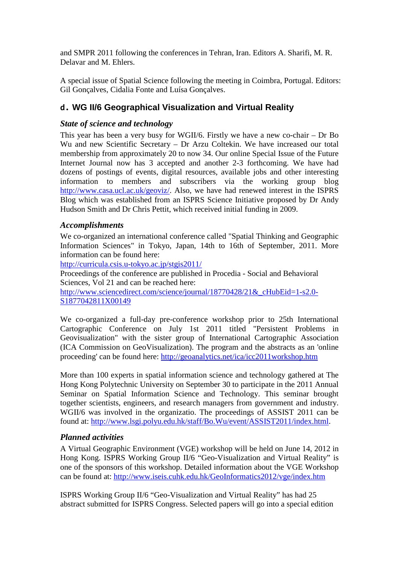and SMPR 2011 following the conferences in Tehran, Iran. Editors A. Sharifi, M. R. Delavar and M. Ehlers.

A special issue of Spatial Science following the meeting in Coimbra, Portugal. Editors: Gil Gonçalves, Cidalia Fonte and Luísa Gonçalves.

## **d. WG II/6 Geographical Visualization and Virtual Reality**

#### *State of science and technology*

This year has been a very busy for WGII/6. Firstly we have a new co-chair – Dr Bo Wu and new Scientific Secretary – Dr Arzu Coltekin. We have increased our total membership from approximately 20 to now 34. Our online Special Issue of the Future Internet Journal now has 3 accepted and another 2-3 forthcoming. We have had dozens of postings of events, digital resources, available jobs and other interesting information to members and subscribers via the working group blog [http://www.casa.ucl.ac.uk/geoviz/.](http://www.casa.ucl.ac.uk/geoviz/) Also, we have had renewed interest in the ISPRS Blog which was established from an ISPRS Science Initiative proposed by Dr Andy Hudson Smith and Dr Chris Pettit, which received initial funding in 2009.

#### *Accomplishments*

We co-organized an international conference called "Spatial Thinking and Geographic Information Sciences" in Tokyo, Japan, 14th to 16th of September, 2011. More information can be found here:

<http://curricula.csis.u-tokyo.ac.jp/stgis2011/>

Proceedings of the conference are published in Procedia - Social and Behavioral Sciences, Vol 21 and can be reached here:

http://www.sciencedirect.com/science/journal/18770428/21&cHubEid=1-s2.0-[S1877042811X00149](http://www.sciencedirect.com/science/journal/18770428/21&_cHubEid=1-s2.0-S1877042811X00149)

We co-organized a full-day pre-conference workshop prior to 25th International Cartographic Conference on July 1st 2011 titled "Persistent Problems in Geovisualization" with the sister group of International Cartographic Association (ICA Commission on GeoVisualization). The program and the abstracts as an 'online proceeding' can be found here: <http://geoanalytics.net/ica/icc2011workshop.htm>

More than 100 experts in spatial information science and technology gathered at The Hong Kong Polytechnic University on September 30 to participate in the 2011 Annual Seminar on Spatial Information Science and Technology. This seminar brought together scientists, engineers, and research managers from government and industry. WGII/6 was involved in the organizatio. The proceedings of ASSIST 2011 can be found at: [http://www.lsgi.polyu.edu.hk/staff/Bo.Wu/event/ASSIST2011/index.html.](http://www.lsgi.polyu.edu.hk/staff/Bo.Wu/event/ASSIST2011/index.html)

#### *Planned activities*

A Virtual Geographic Environment (VGE) workshop will be held on June 14, 2012 in Hong Kong. ISPRS Working Group II/6 "Geo-Visualization and Virtual Reality" is one of the sponsors of this workshop. Detailed information about the VGE Workshop can be found at:<http://www.iseis.cuhk.edu.hk/GeoInformatics2012/vge/index.htm>

ISPRS Working Group II/6 "Geo-Visualization and Virtual Reality" has had 25 abstract submitted for ISPRS Congress. Selected papers will go into a special edition